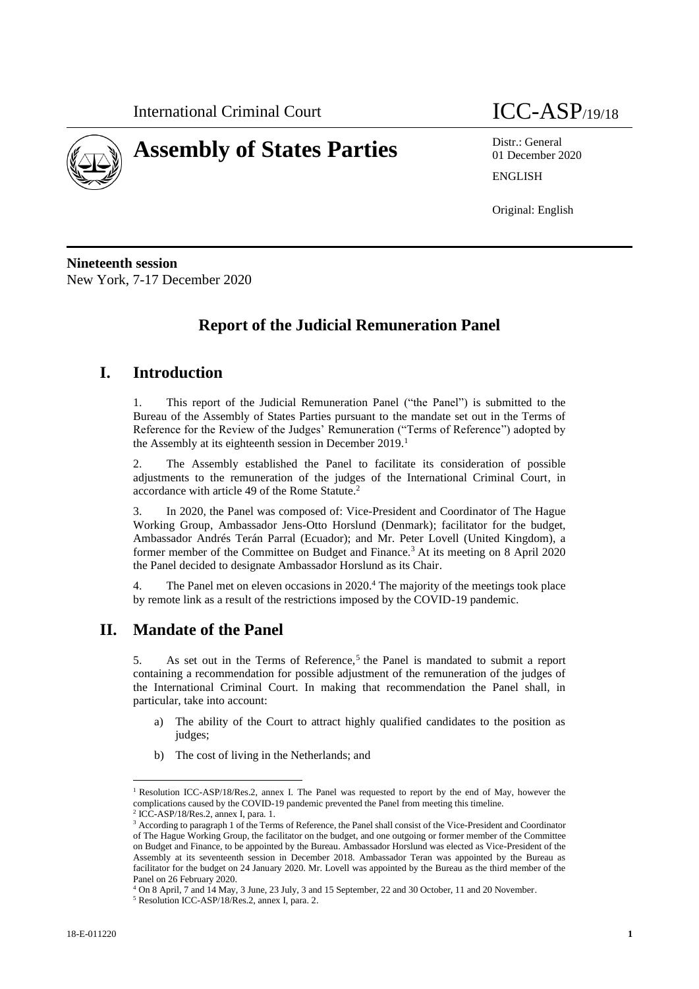

# **Assembly of States Parties** Distr.: General

01 December 2020 ENGLISH

Original: English

**Nineteenth session** New York, 7-17 December 2020

# **Report of the Judicial Remuneration Panel**

# **I. Introduction**

1. This report of the Judicial Remuneration Panel ("the Panel") is submitted to the Bureau of the Assembly of States Parties pursuant to the mandate set out in the Terms of Reference for the Review of the Judges' Remuneration ("Terms of Reference") adopted by the Assembly at its eighteenth session in December 2019.<sup>1</sup>

2. The Assembly established the Panel to facilitate its consideration of possible adjustments to the remuneration of the judges of the International Criminal Court, in accordance with article 49 of the Rome Statute. 2

3. In 2020, the Panel was composed of: Vice-President and Coordinator of The Hague Working Group, Ambassador Jens-Otto Horslund (Denmark); facilitator for the budget, Ambassador Andrés Terán Parral (Ecuador); and Mr. Peter Lovell (United Kingdom), a former member of the Committee on Budget and Finance.<sup>3</sup> At its meeting on 8 April 2020 the Panel decided to designate Ambassador Horslund as its Chair.

4. The Panel met on eleven occasions in 2020.<sup>4</sup> The majority of the meetings took place by remote link as a result of the restrictions imposed by the COVID-19 pandemic.

# **II. Mandate of the Panel**

5. As set out in the Terms of Reference,<sup>5</sup> the Panel is mandated to submit a report containing a recommendation for possible adjustment of the remuneration of the judges of the International Criminal Court. In making that recommendation the Panel shall, in particular, take into account:

- a) The ability of the Court to attract highly qualified candidates to the position as judges;
- b) The cost of living in the Netherlands; and

<sup>&</sup>lt;sup>1</sup> Resolution ICC-ASP/18/Res.2, annex I. The Panel was requested to report by the end of May, however the complications caused by the COVID-19 pandemic prevented the Panel from meeting this timeline.

<sup>2</sup> ICC-ASP/18/Res.2, annex I, para. 1.

<sup>3</sup> According to paragraph 1 of the Terms of Reference, the Panel shall consist of the Vice-President and Coordinator of The Hague Working Group, the facilitator on the budget, and one outgoing or former member of the Committee on Budget and Finance, to be appointed by the Bureau. Ambassador Horslund was elected as Vice-President of the Assembly at its seventeenth session in December 2018. Ambassador Teran was appointed by the Bureau as facilitator for the budget on 24 January 2020. Mr. Lovell was appointed by the Bureau as the third member of the Panel on 26 February 2020.

<sup>4</sup> On 8 April, 7 and 14 May, 3 June, 23 July, 3 and 15 September, 22 and 30 October, 11 and 20 November.

<sup>5</sup> Resolution ICC-ASP/18/Res.2, annex I, para. 2.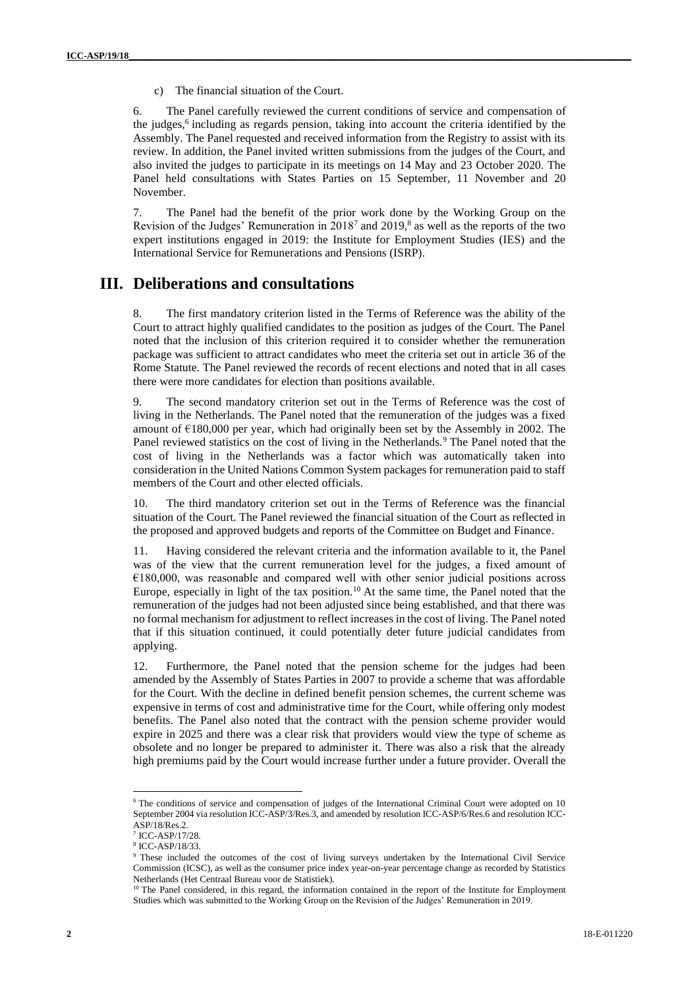c) The financial situation of the Court.

6. The Panel carefully reviewed the current conditions of service and compensation of the judges,<sup>6</sup> including as regards pension, taking into account the criteria identified by the Assembly. The Panel requested and received information from the Registry to assist with its review. In addition, the Panel invited written submissions from the judges of the Court, and also invited the judges to participate in its meetings on 14 May and 23 October 2020. The Panel held consultations with States Parties on 15 September, 11 November and 20 November.

7. The Panel had the benefit of the prior work done by the Working Group on the Revision of the Judges' Remuneration in  $2018<sup>7</sup>$  and  $2019<sup>8</sup>$  as well as the reports of the two expert institutions engaged in 2019: the Institute for Employment Studies (IES) and the International Service for Remunerations and Pensions (ISRP).

# **III. Deliberations and consultations**

8. The first mandatory criterion listed in the Terms of Reference was the ability of the Court to attract highly qualified candidates to the position as judges of the Court. The Panel noted that the inclusion of this criterion required it to consider whether the remuneration package was sufficient to attract candidates who meet the criteria set out in article 36 of the Rome Statute. The Panel reviewed the records of recent elections and noted that in all cases there were more candidates for election than positions available.

9. The second mandatory criterion set out in the Terms of Reference was the cost of living in the Netherlands. The Panel noted that the remuneration of the judges was a fixed amount of  $\epsilon$ 180,000 per year, which had originally been set by the Assembly in 2002. The Panel reviewed statistics on the cost of living in the Netherlands.<sup>9</sup> The Panel noted that the cost of living in the Netherlands was a factor which was automatically taken into consideration in the United Nations Common System packages for remuneration paid to staff members of the Court and other elected officials.

10. The third mandatory criterion set out in the Terms of Reference was the financial situation of the Court. The Panel reviewed the financial situation of the Court as reflected in the proposed and approved budgets and reports of the Committee on Budget and Finance.

11. Having considered the relevant criteria and the information available to it, the Panel was of the view that the current remuneration level for the judges, a fixed amount of €180,000, was reasonable and compared well with other senior judicial positions across Europe, especially in light of the tax position.<sup>10</sup> At the same time, the Panel noted that the remuneration of the judges had not been adjusted since being established, and that there was no formal mechanism for adjustment to reflect increases in the cost of living. The Panel noted that if this situation continued, it could potentially deter future judicial candidates from applying.

12. Furthermore, the Panel noted that the pension scheme for the judges had been amended by the Assembly of States Parties in 2007 to provide a scheme that was affordable for the Court. With the decline in defined benefit pension schemes, the current scheme was expensive in terms of cost and administrative time for the Court, while offering only modest benefits. The Panel also noted that the contract with the pension scheme provider would expire in 2025 and there was a clear risk that providers would view the type of scheme as obsolete and no longer be prepared to administer it. There was also a risk that the already high premiums paid by the Court would increase further under a future provider. Overall the

<sup>6</sup> The conditions of service and compensation of judges of the International Criminal Court were adopted on 10 September 2004 via resolution ICC-ASP/3/Res.3, and amended by resolution ICC-ASP/6/Res.6 and resolution ICC-ASP/18/Res.2.

<sup>7</sup> ICC-ASP/17/28.

<sup>8</sup> ICC-ASP/18/33.

<sup>9</sup> These included the outcomes of the cost of living surveys undertaken by the International Civil Service Commission (ICSC), as well as the consumer price index year-on-year percentage change as recorded by Statistics Netherlands (Het Centraal Bureau voor de Statistiek).

<sup>&</sup>lt;sup>10</sup> The Panel considered, in this regard, the information contained in the report of the Institute for Employment Studies which was submitted to the Working Group on the Revision of the Judges' Remuneration in 2019.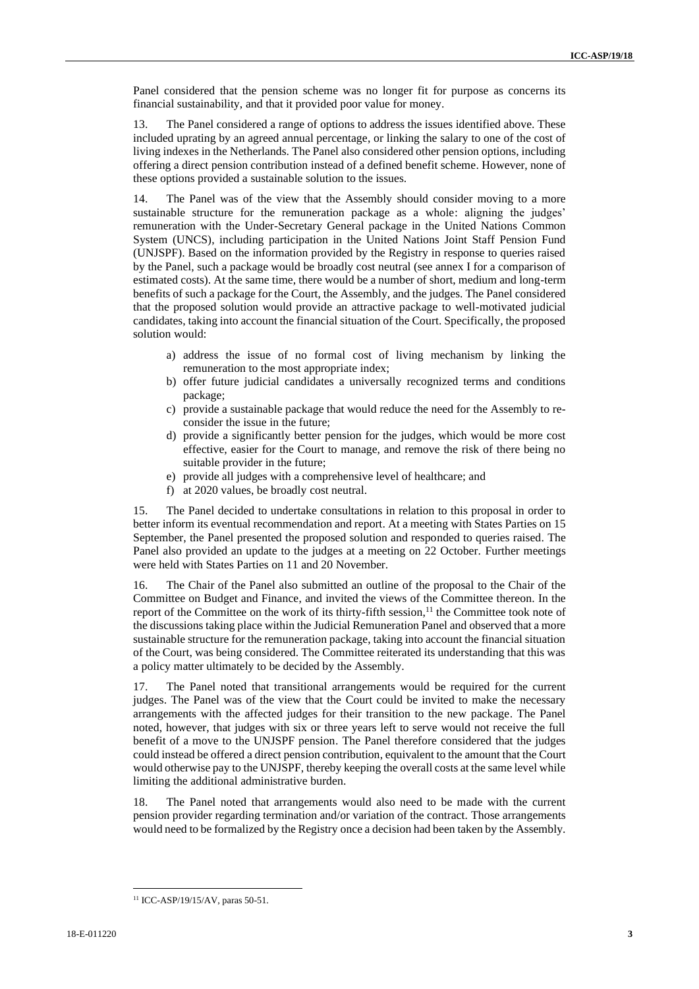Panel considered that the pension scheme was no longer fit for purpose as concerns its financial sustainability, and that it provided poor value for money.

13. The Panel considered a range of options to address the issues identified above. These included uprating by an agreed annual percentage, or linking the salary to one of the cost of living indexes in the Netherlands. The Panel also considered other pension options, including offering a direct pension contribution instead of a defined benefit scheme. However, none of these options provided a sustainable solution to the issues.

14. The Panel was of the view that the Assembly should consider moving to a more sustainable structure for the remuneration package as a whole: aligning the judges' remuneration with the Under-Secretary General package in the United Nations Common System (UNCS), including participation in the United Nations Joint Staff Pension Fund (UNJSPF). Based on the information provided by the Registry in response to queries raised by the Panel, such a package would be broadly cost neutral (see annex I for a comparison of estimated costs). At the same time, there would be a number of short, medium and long-term benefits of such a package for the Court, the Assembly, and the judges. The Panel considered that the proposed solution would provide an attractive package to well-motivated judicial candidates, taking into account the financial situation of the Court. Specifically, the proposed solution would:

- a) address the issue of no formal cost of living mechanism by linking the remuneration to the most appropriate index;
- b) offer future judicial candidates a universally recognized terms and conditions package;
- c) provide a sustainable package that would reduce the need for the Assembly to reconsider the issue in the future;
- d) provide a significantly better pension for the judges, which would be more cost effective, easier for the Court to manage, and remove the risk of there being no suitable provider in the future;
- e) provide all judges with a comprehensive level of healthcare; and
- f) at 2020 values, be broadly cost neutral.

15. The Panel decided to undertake consultations in relation to this proposal in order to better inform its eventual recommendation and report. At a meeting with States Parties on 15 September, the Panel presented the proposed solution and responded to queries raised. The Panel also provided an update to the judges at a meeting on 22 October. Further meetings were held with States Parties on 11 and 20 November.

16. The Chair of the Panel also submitted an outline of the proposal to the Chair of the Committee on Budget and Finance, and invited the views of the Committee thereon. In the report of the Committee on the work of its thirty-fifth session,<sup>11</sup> the Committee took note of the discussions taking place within the Judicial Remuneration Panel and observed that a more sustainable structure for the remuneration package, taking into account the financial situation of the Court, was being considered. The Committee reiterated its understanding that this was a policy matter ultimately to be decided by the Assembly.

17. The Panel noted that transitional arrangements would be required for the current judges. The Panel was of the view that the Court could be invited to make the necessary arrangements with the affected judges for their transition to the new package. The Panel noted, however, that judges with six or three years left to serve would not receive the full benefit of a move to the UNJSPF pension. The Panel therefore considered that the judges could instead be offered a direct pension contribution, equivalent to the amount that the Court would otherwise pay to the UNJSPF, thereby keeping the overall costs at the same level while limiting the additional administrative burden.

18. The Panel noted that arrangements would also need to be made with the current pension provider regarding termination and/or variation of the contract. Those arrangements would need to be formalized by the Registry once a decision had been taken by the Assembly.

<sup>11</sup> ICC-ASP/19/15/AV, paras 50-51.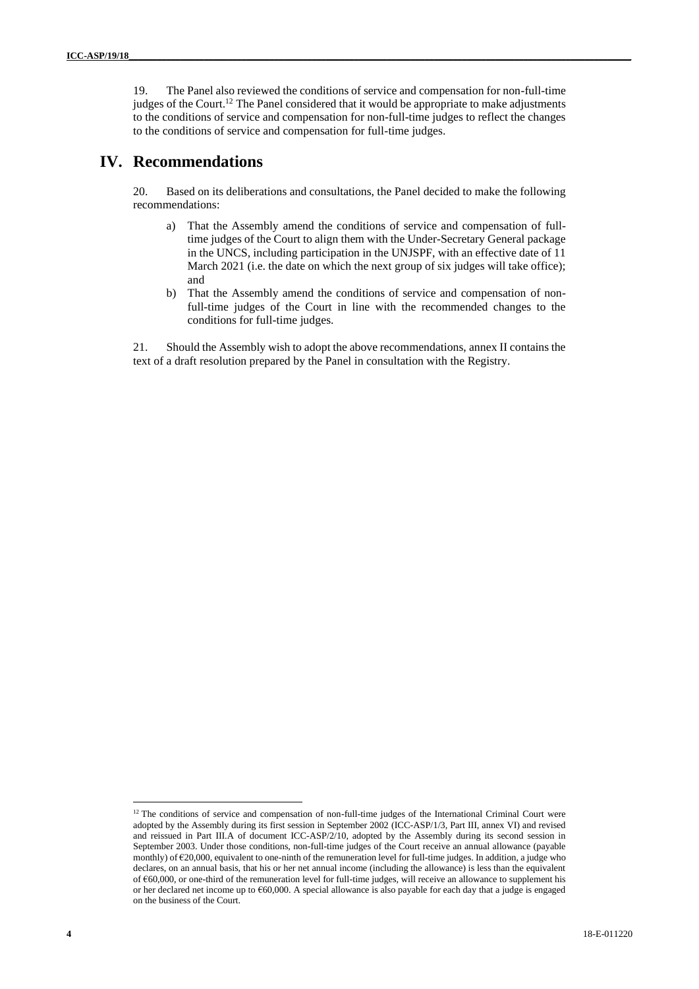19. The Panel also reviewed the conditions of service and compensation for non-full-time judges of the Court.<sup>12</sup> The Panel considered that it would be appropriate to make adjustments to the conditions of service and compensation for non-full-time judges to reflect the changes to the conditions of service and compensation for full-time judges.

### **IV. Recommendations**

20. Based on its deliberations and consultations, the Panel decided to make the following recommendations:

- a) That the Assembly amend the conditions of service and compensation of fulltime judges of the Court to align them with the Under-Secretary General package in the UNCS, including participation in the UNJSPF, with an effective date of 11 March 2021 (i.e. the date on which the next group of six judges will take office); and
- b) That the Assembly amend the conditions of service and compensation of nonfull-time judges of the Court in line with the recommended changes to the conditions for full-time judges.

21. Should the Assembly wish to adopt the above recommendations, annex II contains the text of a draft resolution prepared by the Panel in consultation with the Registry.

<sup>&</sup>lt;sup>12</sup> The conditions of service and compensation of non-full-time judges of the International Criminal Court were adopted by the Assembly during its first session in September 2002 (ICC-ASP/1/3, Part III, annex VI) and revised and reissued in Part III.A of document ICC-ASP/2/10, adopted by the Assembly during its second session in September 2003. Under those conditions, non-full-time judges of the Court receive an annual allowance (payable monthly) of  $\epsilon$ 20,000, equivalent to one-ninth of the remuneration level for full-time judges. In addition, a judge who declares, on an annual basis, that his or her net annual income (including the allowance) is less than the equivalent of €60,000, or one-third of the remuneration level for full-time judges, will receive an allowance to supplement his or her declared net income up to €60,000. A special allowance is also payable for each day that a judge is engaged on the business of the Court.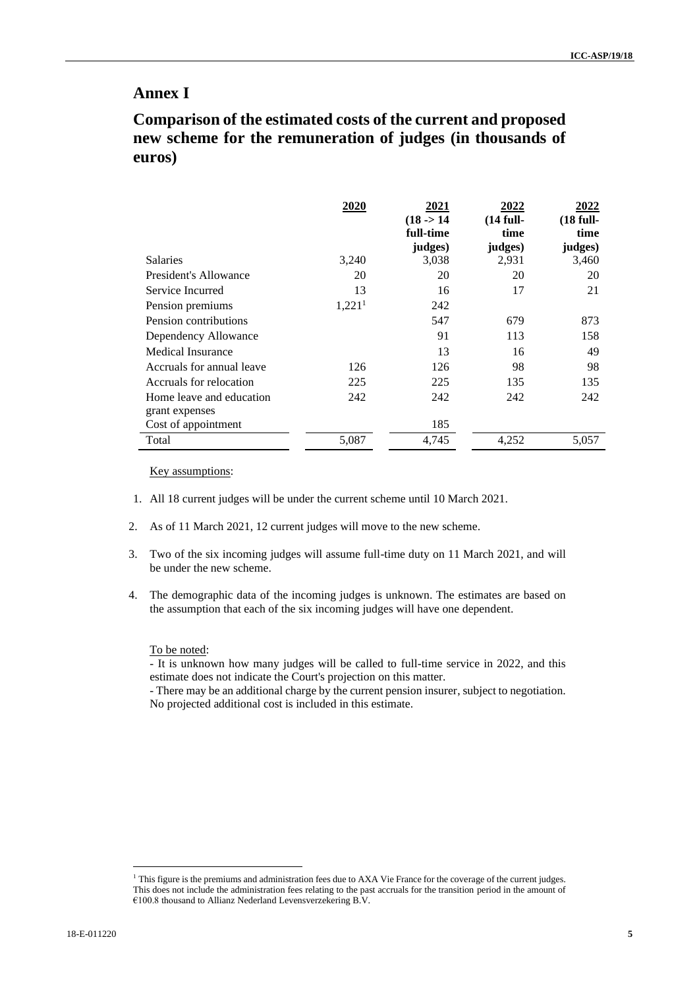# **Annex I**

# **Comparison of the estimated costs of the current and proposed new scheme for the remuneration of judges (in thousands of euros)**

|                           | 2020               | 2021<br>$(18 - > 14)$ | 2022<br>$(14$ full- | 2022<br>$(18$ full- |
|---------------------------|--------------------|-----------------------|---------------------|---------------------|
|                           |                    | full-time             | time                | time                |
|                           |                    | judges)               | judges)             | judges)             |
| <b>Salaries</b>           | 3,240              | 3,038                 | 2,931               | 3,460               |
| President's Allowance     | 20                 | 20                    | 20                  | 20                  |
| Service Incurred          | 13                 | 16                    | 17                  | 21                  |
| Pension premiums          | 1,221 <sup>1</sup> | 242                   |                     |                     |
| Pension contributions     |                    | 547                   | 679                 | 873                 |
| Dependency Allowance      |                    | 91                    | 113                 | 158                 |
| Medical Insurance         |                    | 13                    | 16                  | 49                  |
| Accruals for annual leave | 126                | 126                   | 98                  | 98                  |
| Accruals for relocation   | 225                | 225                   | 135                 | 135                 |
| Home leave and education  | 242                | 242                   | 242                 | 242                 |
| grant expenses            |                    |                       |                     |                     |
| Cost of appointment       |                    | 185                   |                     |                     |
| Total                     | 5.087              | 4.745                 | 4.252               | 5,057               |

Key assumptions:

- 1. All 18 current judges will be under the current scheme until 10 March 2021.
- 2. As of 11 March 2021, 12 current judges will move to the new scheme.
- 3. Two of the six incoming judges will assume full-time duty on 11 March 2021, and will be under the new scheme.
- 4. The demographic data of the incoming judges is unknown. The estimates are based on the assumption that each of the six incoming judges will have one dependent.

#### To be noted:

- It is unknown how many judges will be called to full-time service in 2022, and this estimate does not indicate the Court's projection on this matter.

- There may be an additional charge by the current pension insurer, subject to negotiation. No projected additional cost is included in this estimate.

<sup>&</sup>lt;sup>1</sup> This figure is the premiums and administration fees due to AXA Vie France for the coverage of the current judges. This does not include the administration fees relating to the past accruals for the transition period in the amount of €100.8 thousand to Allianz Nederland Levensverzekering B.V.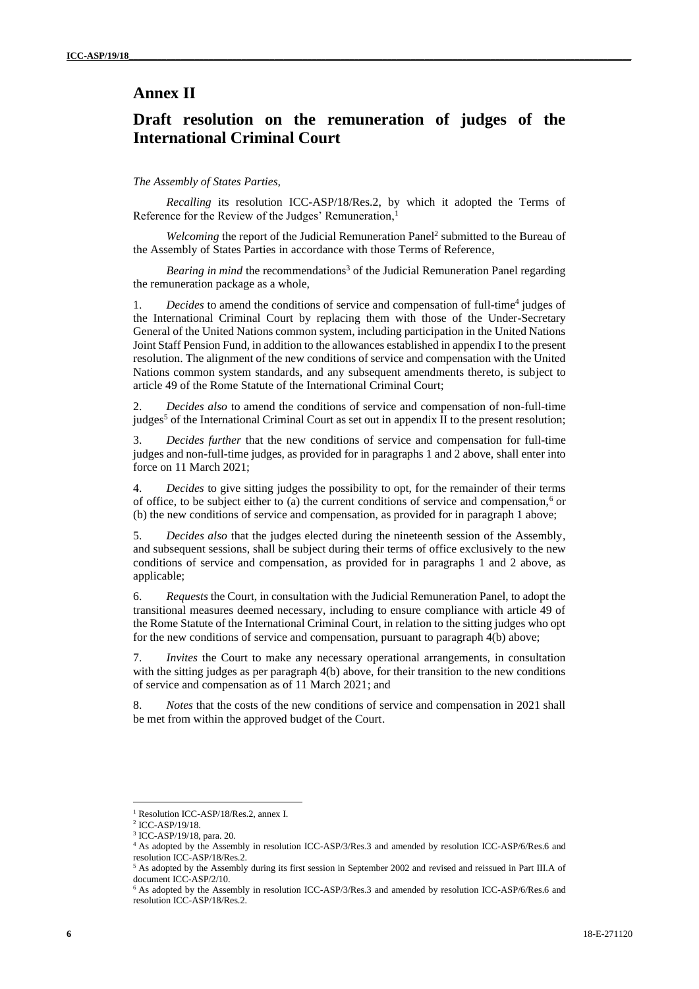## **Annex II**

# **Draft resolution on the remuneration of judges of the International Criminal Court**

### *The Assembly of States Parties,*

*Recalling* its resolution ICC-ASP/18/Res.2, by which it adopted the Terms of Reference for the Review of the Judges' Remuneration,<sup>1</sup>

Welcoming the report of the Judicial Remuneration Panel<sup>2</sup> submitted to the Bureau of the Assembly of States Parties in accordance with those Terms of Reference,

*Bearing in mind* the recommendations<sup>3</sup> of the Judicial Remuneration Panel regarding the remuneration package as a whole,

1. Decides to amend the conditions of service and compensation of full-time<sup>4</sup> judges of the International Criminal Court by replacing them with those of the Under-Secretary General of the United Nations common system, including participation in the United Nations Joint Staff Pension Fund, in addition to the allowances established in appendix I to the present resolution. The alignment of the new conditions of service and compensation with the United Nations common system standards, and any subsequent amendments thereto, is subject to article 49 of the Rome Statute of the International Criminal Court;

2. *Decides also* to amend the conditions of service and compensation of non-full-time judges<sup>5</sup> of the International Criminal Court as set out in appendix II to the present resolution;

3. *Decides further* that the new conditions of service and compensation for full-time judges and non-full-time judges, as provided for in paragraphs 1 and 2 above, shall enter into force on 11 March 2021;

4. *Decides* to give sitting judges the possibility to opt, for the remainder of their terms of office, to be subject either to (a) the current conditions of service and compensation,<sup>6</sup> or (b) the new conditions of service and compensation, as provided for in paragraph 1 above;

5. *Decides also* that the judges elected during the nineteenth session of the Assembly, and subsequent sessions, shall be subject during their terms of office exclusively to the new conditions of service and compensation, as provided for in paragraphs 1 and 2 above, as applicable;

6. *Requests* the Court, in consultation with the Judicial Remuneration Panel, to adopt the transitional measures deemed necessary, including to ensure compliance with article 49 of the Rome Statute of the International Criminal Court, in relation to the sitting judges who opt for the new conditions of service and compensation, pursuant to paragraph 4(b) above;

7. *Invites* the Court to make any necessary operational arrangements, in consultation with the sitting judges as per paragraph 4(b) above, for their transition to the new conditions of service and compensation as of 11 March 2021; and

8. *Notes* that the costs of the new conditions of service and compensation in 2021 shall be met from within the approved budget of the Court.

<sup>1</sup> Resolution ICC-ASP/18/Res.2, annex I.

<sup>2</sup> ICC-ASP/19/18.

<sup>3</sup> ICC-ASP/19/18, para. 20.

<sup>4</sup> As adopted by the Assembly in resolution ICC-ASP/3/Res.3 and amended by resolution ICC-ASP/6/Res.6 and resolution ICC-ASP/18/Res.2.

<sup>5</sup> As adopted by the Assembly during its first session in September 2002 and revised and reissued in Part III.A of document ICC-ASP/2/10.

<sup>6</sup> As adopted by the Assembly in resolution ICC-ASP/3/Res.3 and amended by resolution ICC-ASP/6/Res.6 and resolution ICC-ASP/18/Res.2.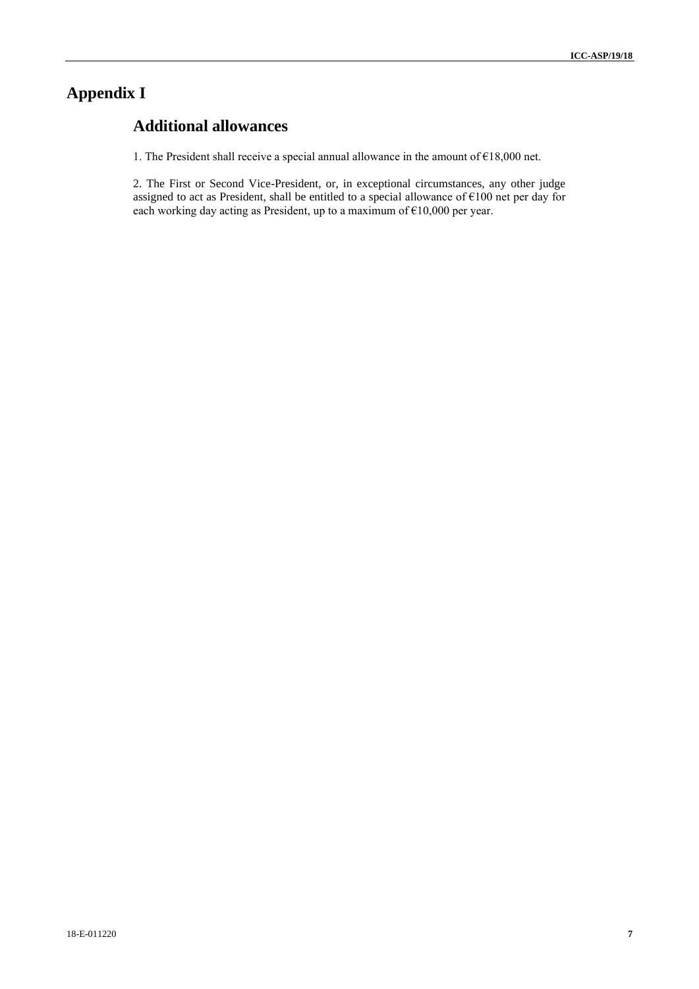# **Appendix I**

# **Additional allowances**

1. The President shall receive a special annual allowance in the amount of €18,000 net.

2. The First or Second Vice-President, or, in exceptional circumstances, any other judge assigned to act as President, shall be entitled to a special allowance of €100 net per day for each working day acting as President, up to a maximum of  $€10,000$  per year.